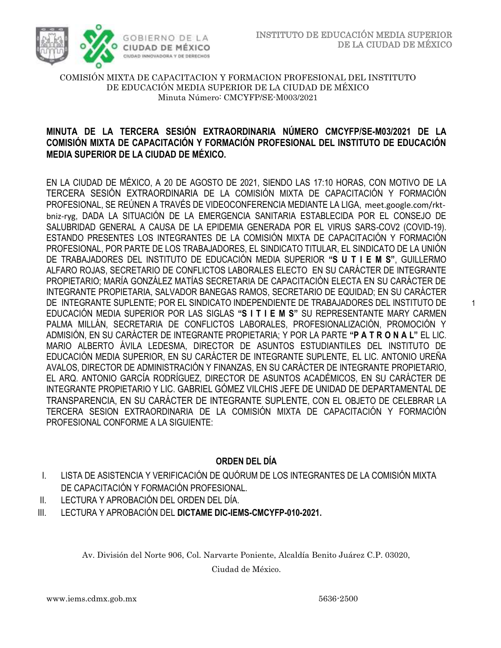

1

## COMISIÓN MIXTA DE CAPACITACION Y FORMACION PROFESIONAL DEL INSTITUTO DE EDUCACIÓN MEDIA SUPERIOR DE LA CIUDAD DE MÉXICO Minuta Número: CMCYFP/SE-M003/2021

## **MINUTA DE LA TERCERA SESIÓN EXTRAORDINARIA NÚMERO CMCYFP/SE-M03/2021 DE LA COMISIÓN MIXTA DE CAPACITACIÓN Y FORMACIÓN PROFESIONAL DEL INSTITUTO DE EDUCACIÓN MEDIA SUPERIOR DE LA CIUDAD DE MÉXICO.**

EN LA CIUDAD DE MÉXICO, A 20 DE AGOSTO DE 2021, SIENDO LAS 17:10 HORAS, CON MOTIVO DE LA TERCERA SESIÓN EXTRAORDINARIA DE LA COMISIÓN MIXTA DE CAPACITACIÓN Y FORMACIÓN PROFESIONAL, SE REÚNEN A TRAVÉS DE VIDEOCONFERENCIA MEDIANTE LA LIGA, meet.google.com/rktbniz-ryg, DADA LA SITUACIÓN DE LA EMERGENCIA SANITARIA ESTABLECIDA POR EL CONSEJO DE SALUBRIDAD GENERAL A CAUSA DE LA EPIDEMIA GENERADA POR EL VIRUS SARS-COV2 (COVID-19). ESTANDO PRESENTES LOS INTEGRANTES DE LA COMISIÓN MIXTA DE CAPACITACIÓN Y FORMACIÓN PROFESIONAL, POR PARTE DE LOS TRABAJADORES, EL SINDICATO TITULAR, EL SINDICATO DE LA UNIÓN DE TRABAJADORES DEL INSTITUTO DE EDUCACIÓN MEDIA SUPERIOR **"S U T I E M S"**, GUILLERMO ALFARO ROJAS, SECRETARIO DE CONFLICTOS LABORALES ELECTO EN SU CARÁCTER DE INTEGRANTE PROPIETARIO; MARÍA GONZÁLEZ MATÍAS SECRETARIA DE CAPACITACIÓN ELECTA EN SU CARÁCTER DE INTEGRANTE PROPIETARIA, SALVADOR BANEGAS RAMOS, SECRETARIO DE EQUIDAD; EN SU CARÁCTER DE INTEGRANTE SUPLENTE; POR EL SINDICATO INDEPENDIENTE DE TRABAJADORES DEL INSTITUTO DE EDUCACIÓN MEDIA SUPERIOR POR LAS SIGLAS **"S I T I E M S"** SU REPRESENTANTE MARY CARMEN PALMA MILLÁN, SECRETARIA DE CONFLICTOS LABORALES, PROFESIONALIZACIÓN, PROMOCIÓN Y ADMISIÓN, EN SU CARÁCTER DE INTEGRANTE PROPIETARIA; Y POR LA PARTE **"P A T R O N A L"** EL LIC. MARIO ALBERTO ÁVILA LEDESMA, DIRECTOR DE ASUNTOS ESTUDIANTILES DEL INSTITUTO DE EDUCACIÓN MEDIA SUPERIOR, EN SU CARÁCTER DE INTEGRANTE SUPLENTE, EL LIC. ANTONIO UREÑA AVALOS, DIRECTOR DE ADMINISTRACIÓN Y FINANZAS, EN SU CARÁCTER DE INTEGRANTE PROPIETARIO, EL ARQ. ANTONIO GARCÍA RODRÍGUEZ, DIRECTOR DE ASUNTOS ACADÉMICOS, EN SU CARÁCTER DE INTEGRANTE PROPIETARIO Y LIC. GABRIEL GÓMEZ VILCHIS JEFE DE UNIDAD DE DEPARTAMENTAL DE TRANSPARENCIA, EN SU CARÁCTER DE INTEGRANTE SUPLENTE, CON EL OBJETO DE CELEBRAR LA TERCERA SESION EXTRAORDINARIA DE LA COMISIÓN MIXTA DE CAPACITACIÓN Y FORMACIÓN PROFESIONAL CONFORME A LA SIGUIENTE:

# **ORDEN DEL DÍA**

- I. LISTA DE ASISTENCIA Y VERIFICACIÓN DE QUÓRUM DE LOS INTEGRANTES DE LA COMISIÓN MIXTA DE CAPACITACIÓN Y FORMACIÓN PROFESIONAL.
- II. LECTURA Y APROBACIÓN DEL ORDEN DEL DÍA.
- III. LECTURA Y APROBACIÓN DEL **DICTAME DIC-IEMS-CMCYFP-010-2021.**

Av. División del Norte 906, Col. Narvarte Poniente, Alcaldía Benito Juárez C.P. 03020,

Ciudad de México.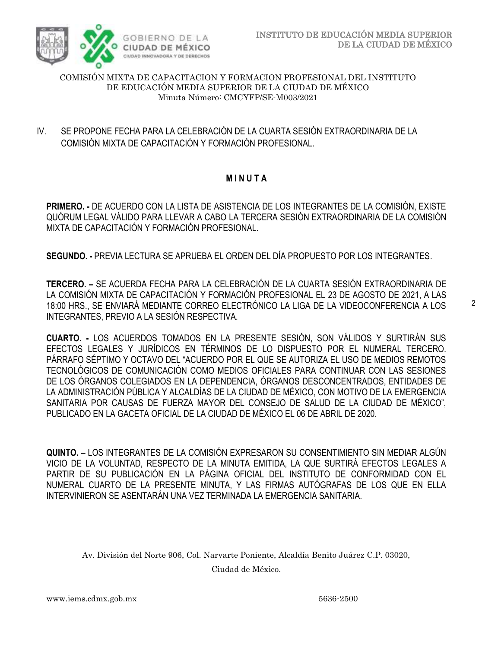

## COMISIÓN MIXTA DE CAPACITACION Y FORMACION PROFESIONAL DEL INSTITUTO DE EDUCACIÓN MEDIA SUPERIOR DE LA CIUDAD DE MÉXICO Minuta Número: CMCYFP/SE-M003/2021

IV. SE PROPONE FECHA PARA LA CELEBRACIÓN DE LA CUARTA SESIÓN EXTRAORDINARIA DE LA COMISIÓN MIXTA DE CAPACITACIÓN Y FORMACIÓN PROFESIONAL.

# **M I N U T A**

**PRIMERO. -** DE ACUERDO CON LA LISTA DE ASISTENCIA DE LOS INTEGRANTES DE LA COMISIÓN, EXISTE QUÓRUM LEGAL VÁLIDO PARA LLEVAR A CABO LA TERCERA SESIÓN EXTRAORDINARIA DE LA COMISIÓN MIXTA DE CAPACITACIÓN Y FORMACIÓN PROFESIONAL.

**SEGUNDO. -** PREVIA LECTURA SE APRUEBA EL ORDEN DEL DÍA PROPUESTO POR LOS INTEGRANTES.

**TERCERO. –** SE ACUERDA FECHA PARA LA CELEBRACIÓN DE LA CUARTA SESIÓN EXTRAORDINARIA DE LA COMISIÓN MIXTA DE CAPACITACIÓN Y FORMACIÓN PROFESIONAL EL 23 DE AGOSTO DE 2021, A LAS 18:00 HRS., SE ENVIARÁ MEDIANTE CORREO ELECTRÓNICO LA LIGA DE LA VIDEOCONFERENCIA A LOS INTEGRANTES, PREVIO A LA SESIÓN RESPECTIVA.

**CUARTO. -** LOS ACUERDOS TOMADOS EN LA PRESENTE SESIÓN, SON VÁLIDOS Y SURTIRÁN SUS EFECTOS LEGALES Y JURÍDICOS EN TÉRMINOS DE LO DISPUESTO POR EL NUMERAL TERCERO. PÁRRAFO SÉPTIMO Y OCTAVO DEL "ACUERDO POR EL QUE SE AUTORIZA EL USO DE MEDIOS REMOTOS TECNOLÓGICOS DE COMUNICACIÓN COMO MEDIOS OFICIALES PARA CONTINUAR CON LAS SESIONES DE LOS ÓRGANOS COLEGIADOS EN LA DEPENDENCIA, ÓRGANOS DESCONCENTRADOS, ENTIDADES DE LA ADMINISTRACIÓN PÚBLICA Y ALCALDÍAS DE LA CIUDAD DE MÉXICO, CON MOTIVO DE LA EMERGENCIA SANITARIA POR CAUSAS DE FUERZA MAYOR DEL CONSEJO DE SALUD DE LA CIUDAD DE MÉXICO", PUBLICADO EN LA GACETA OFICIAL DE LA CIUDAD DE MÉXICO EL 06 DE ABRIL DE 2020.

**QUINTO. –** LOS INTEGRANTES DE LA COMISIÓN EXPRESARON SU CONSENTIMIENTO SIN MEDIAR ALGÚN VICIO DE LA VOLUNTAD, RESPECTO DE LA MINUTA EMITIDA, LA QUE SURTIRÁ EFECTOS LEGALES A PARTIR DE SU PUBLICACIÓN EN LA PÁGINA OFICIAL DEL INSTITUTO DE CONFORMIDAD CON EL NUMERAL CUARTO DE LA PRESENTE MINUTA, Y LAS FIRMAS AUTÓGRAFAS DE LOS QUE EN ELLA INTERVINIERON SE ASENTARÁN UNA VEZ TERMINADA LA EMERGENCIA SANITARIA.

Av. División del Norte 906, Col. Narvarte Poniente, Alcaldía Benito Juárez C.P. 03020,

Ciudad de México.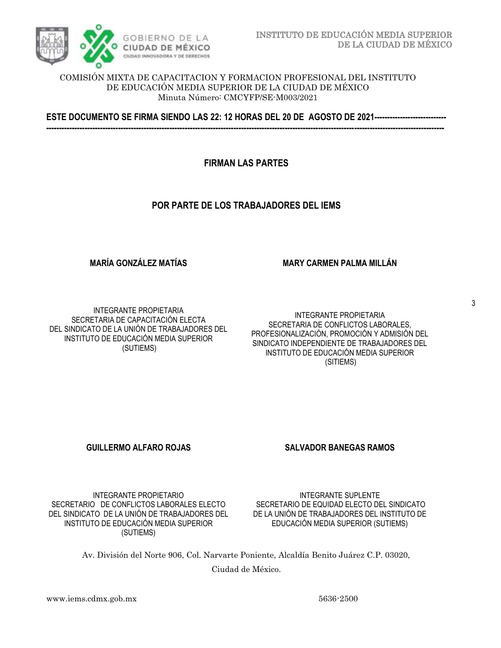

### COMISIÓN MIXTA DE CAPACITACION Y FORMACION PROFESIONAL DEL INSTITUTO DE EDUCACIÓN MEDIA SUPERIOR DE LA CIUDAD DE MÉXICO Minuta Número: CMCYFP/SE-M003/2021

**ESTE DOCUMENTO SE FIRMA SIENDO LAS 22: 12 HORAS DEL 20 DE AGOSTO DE 2021---------------------------- -----------------------------------------------------------------------------------------------------------------------------------------------------------**

## **FIRMAN LAS PARTES**

## **POR PARTE DE LOS TRABAJADORES DEL IEMS**

## **MARÍA GONZÁLEZ MATÍAS**

**MARY CARMEN PALMA MILLÁN**

INTEGRANTE PROPIETARIA SECRETARIA DE CAPACITACIÓN ELECTA DEL SINDICATO DE LA UNIÓN DE TRABAJADORES DEL INSTITUTO DE EDUCACIÓN MEDIA SUPERIOR (SUTIEMS)

#### INTEGRANTE PROPIETARIA SECRETARIA DE CONFLICTOS LABORALES, PROFESIONALIZACIÓN, PROMOCIÓN Y ADMISIÓN DEL SINDICATO INDEPENDIENTE DE TRABAJADORES DEL INSTITUTO DE EDUCACIÓN MEDIA SUPERIOR (SITIEMS)

## **GUILLERMO ALFARO ROJAS SALVADOR BANEGAS RAMOS**

INTEGRANTE PROPIETARIO SECRETARIO DE CONFLICTOS LABORALES ELECTO DEL SINDICATO DE LA UNIÓN DE TRABAJADORES DEL INSTITUTO DE EDUCACIÓN MEDIA SUPERIOR (SUTIEMS)

INTEGRANTE SUPLENTE SECRETARIO DE EQUIDAD ELECTO DEL SINDICATO DE LA UNIÓN DE TRABAJADORES DEL INSTITUTO DE EDUCACIÓN MEDIA SUPERIOR (SUTIEMS)

Av. División del Norte 906, Col. Narvarte Poniente, Alcaldía Benito Juárez C.P. 03020,

Ciudad de México.